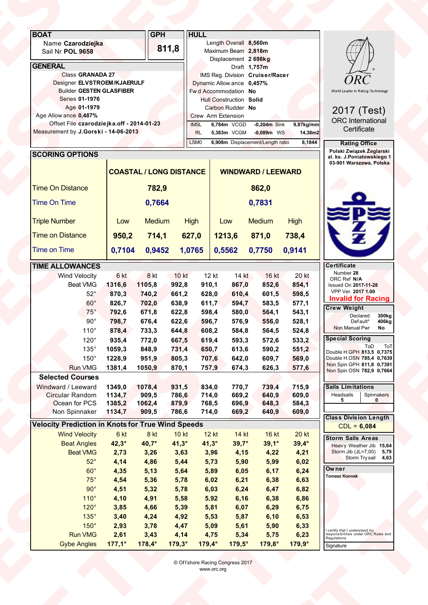| <b>BOAT</b><br>Name Czarodziejka<br>Sail Nr POL 9658<br><b>GENERAL</b><br>Class GRANADA 27<br>Designer ELVSTROEM/KJAERULF                                                                                |                                                                        | <b>GPH</b>                                                           | <b>HULL</b><br>811,8                                                         | Length Overall 8,560m<br>Maximum Beam 2,818m<br>Displacement 2 698kg<br>IMS Reg. Division Cruiser/Racer<br>Dynamic Allow ance 0,457%         | Draft 1,757m                                                          |                                                                              | <b>ORC</b>                                                                                                                                                                                                                             |  |
|----------------------------------------------------------------------------------------------------------------------------------------------------------------------------------------------------------|------------------------------------------------------------------------|----------------------------------------------------------------------|------------------------------------------------------------------------------|----------------------------------------------------------------------------------------------------------------------------------------------|-----------------------------------------------------------------------|------------------------------------------------------------------------------|----------------------------------------------------------------------------------------------------------------------------------------------------------------------------------------------------------------------------------------|--|
| <b>Builder GESTEN GLASFIBER</b><br>Series 01-1976<br>Age 01-1979<br>Age Allow ance 0,487%<br>Offset File czarodziejka.off - 2014-01-23<br>Measurement by J.Gorski - 14-06-2013<br><b>SCORING OPTIONS</b> |                                                                        |                                                                      | <b>IMSL</b><br><b>RL</b><br>LSM <sub>0</sub>                                 | Fw d Accommodation No<br><b>Hull Construction Solid</b><br>Carbon Rudder No<br>Crew Arm Extension<br>6,784m VCGD<br>5,383m VCGM              | $-0,204m$ Sink<br>$-0,089m$ WS<br>6,908m Displacement/Length ratio    | 9,87kg/mm<br>14,38m2<br>8,1844                                               | World Leader in Rating Technology<br>2017 (Test)<br><b>ORC</b> International<br>Certificate<br><b>Rating Office</b><br>Polski Związek Żeglarski                                                                                        |  |
| <b>Time On Distance</b><br>Time On Time                                                                                                                                                                  |                                                                        | 782,9<br>0,7664                                                      | <b>COASTAL / LONG DISTANCE</b>                                               |                                                                                                                                              | <b>WINDWARD / LEEWARD</b><br>862,0<br>0,7831                          |                                                                              | al. ks. J.Poniatowskiego 1<br>03-901 Warszawa, Polska<br><u> Pesa</u>                                                                                                                                                                  |  |
| <b>Triple Number</b><br><b>Time on Distance</b><br><b>Time on Time</b><br><b>TIME ALLOWANCES</b><br><b>Wind Velocity</b><br>Beat VMG                                                                     | Low<br>950,2<br>0,7104<br>6 kt<br>1316,6                               | Medium<br>714,1<br>0,9452<br>8 kt<br>1105,8                          | <b>High</b><br>627,0<br>1,0765<br>10 kt<br>992,8                             | Low<br>1213,6<br>0,5562<br>12 kt<br>14 kt<br>867,0<br>910,1                                                                                  | <b>Medium</b><br>871,0<br>0,7750<br>16 kt<br>852,6                    | <b>High</b><br>738,4<br>0,9141<br>20 kt<br>854,1                             | Æ<br><b>Certificate</b><br>Number 28<br>ORC Ref N/A<br><b>Issued On 2017-11-28</b>                                                                                                                                                     |  |
| $52^\circ$<br>$60^{\circ}$<br>$75^\circ$<br>$90^\circ$<br>110°<br>$120^\circ$<br>$135^\circ$<br>$150^\circ$                                                                                              | 870,3<br>826,7<br>792,6<br>798,7<br>878,4<br>935,4<br>1059,3<br>1228,9 | 740,2<br>702,0<br>671,8<br>676,4<br>733,3<br>772,0<br>848,9<br>951,9 | 661,2<br>638,9<br>622,8<br>622,6<br>644,8<br>667,5<br>731,4<br>805,3         | 628,0<br>610,4<br>611,7<br>594,7<br>598,4<br>580,0<br>596,7<br>576,9<br>608,2<br>584,8<br>619,4<br>593,3<br>650,7<br>613,6<br>707,6<br>642,0 | 601,5<br>583,5<br>564,1<br>556,0<br>564,5<br>572,6<br>590,2<br>609,7  | 598,5<br>577,1<br>543,1<br>528,1<br>524,8<br>533,2<br>551,2<br>569,0         | VPP Ver. 2017 1.00<br><b>Invalid for Racing</b><br><b>Crew Weight</b><br>Declared<br>300kg<br>Default*<br>406kg<br>Non Manual Pwr<br>No<br><b>Special Scoring</b><br>ToD ToT<br>Double H.GPH 813,5 0,7375<br>Double H.OSN 785,4 0,7639 |  |
| <b>Run VMG</b><br><b>Selected Courses</b><br>Windward / Leeward<br>Circular Random<br>Ocean for PCS<br>Non Spinnaker<br><b>Velocity Prediction in Knots for True Wind Speeds</b>                         | 1381,4<br>1349,0<br>1134,7<br>1385,2<br>1134,7<br>6 kt                 | 1050,9<br>1078,4<br>909,5<br>1062,4<br>909,5<br>8 kt                 | 870,1<br>931,5<br>786,6<br>879,9<br>786,6                                    | 757,9<br>674,3<br>834,0<br>770,7<br>714,0<br>669,2<br>768,5<br>696,9<br>714,0<br>669,2<br>14 kt                                              | 626,3<br>739,4<br>640,9<br>648,3<br>640,9                             | 577,6<br>715,9<br>609,0<br>584,3<br>609,0                                    | Non Spin GPH 811,8 0,7391<br>Non Spin OSN 782,9 0,7664<br><b>Sails Limitations</b><br>Headsails<br>Spinnakers<br>5<br>$\mathbf{0}$<br><b>Class Division Length</b><br>$CDL = 6,084$                                                    |  |
| <b>Wind Velocity</b><br><b>Beat Angles</b><br><b>Beat VMG</b><br>$52^\circ$<br>$60^\circ$<br>$75^\circ$<br>$90^\circ$<br>110°                                                                            | $42,3^\circ$<br>2,73<br>4,14<br>4,35<br>4,54<br>4,51<br>4,10           | 40,7°<br>3,26<br>4,86<br>5,13<br>5,36<br>5,32<br>4,91                | <b>10 kt</b><br>$41,3^\circ$<br>3,63<br>5,44<br>5,64<br>5,78<br>5,78<br>5,58 | $12$ kt<br>$41,3^\circ$<br>$39,7^\circ$<br>3,96<br>4,15<br>5,73<br>5,90<br>6,05<br>5,89<br>6,02<br>6,21<br>6,24<br>6,03<br>5,92<br>6,16      | 16 kt<br>$39,1^\circ$<br>4,22<br>5,99<br>6,17<br>6,38<br>6,47<br>6,38 | <b>20 kt</b><br>$39,4^\circ$<br>4,21<br>6,02<br>6,24<br>6,63<br>6,82<br>6,86 | <b>Storm Sails Areas</b><br>Heavy Weather Jib 15,64<br>Storm Jib (JL=7,00) 5,79<br>Storm Try sail 4,63<br>Owner<br><b>Tomasz Konnak</b>                                                                                                |  |
| $120^\circ$<br>$135^\circ$<br>$150^\circ$<br><b>Run VMG</b><br><b>Gybe Angles</b>                                                                                                                        | 3,85<br>3,40<br>2,93<br>2,61<br>$177,1^{\circ}$                        | 4,66<br>4,24<br>3,78<br>3,43<br>178,4°                               | 5,39<br>4,92<br>4,47<br>4,14<br>$179,3^\circ$                                | 5,81<br>6,07<br>5,53<br>5,87<br>5,61<br>5,09<br>4,75<br>5,34<br>179,4°<br>$179,5^\circ$                                                      | 6,29<br>6,10<br>5,90<br>5,75<br>$179,8^\circ$                         | 6,75<br>6,53<br>6,33<br>6,23<br>$179,9^\circ$                                | I certify that I understand my<br>responsibilities under ORC Rules and<br>Regulations<br>Signature                                                                                                                                     |  |
|                                                                                                                                                                                                          |                                                                        |                                                                      |                                                                              | © Offshore Racing Congress 2017<br>www.orc.org                                                                                               |                                                                       |                                                                              |                                                                                                                                                                                                                                        |  |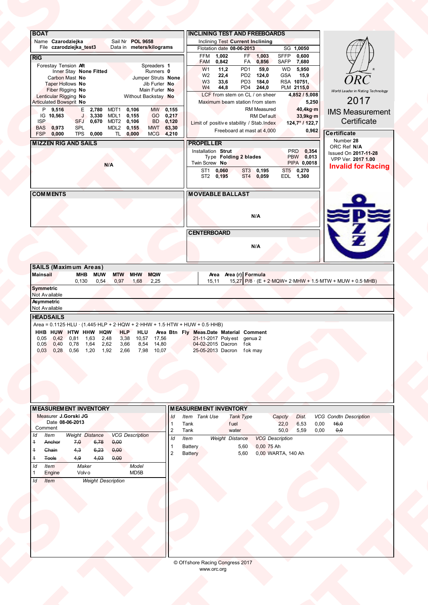| <b>ORC</b><br>W <sub>3</sub><br>33,6<br>PD3 184,0<br>RSA 10751,<br>Taper Hollows No<br>Jib Furler No.<br>W <sub>4</sub><br>44,8<br>PD4 244,0<br>PLM 2115,0<br>Fiber Rigging No<br>Main Furler No<br>LCF from stem on CL / on sheer<br>4,852 / 5,008<br>Lenticular Rigging No<br>Without Backstay No<br>2017<br>Articulated Bowsprit No<br>Maximum beam station from stem<br>5,250<br>RM Measured<br>40,4kg·m<br>MW 0,155<br>P 9,516<br>E 2,780 MDT1<br>0,106<br>J 3,330 MDL1<br>GO 0,217<br>IG 10,563<br>0,155<br>33,9kg·m<br><b>RM</b> Default<br>Certificate<br><b>ISP</b><br>SFJ 0,670 MDT2 0,106<br>BD 0,120<br>Limit of positive stability / Stab.Index<br>124,7°/122,7<br><b>BAS</b><br>0,973<br><b>SPL</b><br>MDL2 0,155<br>MWT 63,30<br>Freeboard at mast at 4,000<br>0,962<br>Certificate<br>FSP<br>0,000<br>TPS 0,000<br>TL 0,000<br>MCG 4,210<br>Number 28<br><b>MIZZEN RIG AND SAILS</b><br><b>PROPELLER</b><br>ORC Ref N/A<br>PRD 0,354<br>Installation Strut<br>Issued On 2017-11-28<br>PBW 0,013<br>Type Folding 2 blades<br>VPP Ver. 2017 1.00<br>Twin Screw No<br>PIPA 0,0018<br>N/A<br>ST1 0,060<br>ST2 0,195<br>ST3 0,195<br>ST4 0,059<br>ST5 0,270<br>EDL 1,360<br><b>COMMENTS</b><br><b>MOVEABLE BALLAST</b><br>N/A<br><b>CENTERBOARD</b><br>N/A<br><b>SAILS (Maximum Areas)</b><br>MHB MUW MTW MHW MQW<br>Mainsail<br><b>Area Area (r) Formula</b><br>15,11 15,27 P/8 · (E + 2·MQW+ 2·MHW + 1.5·MTW + MUW + 0.5·MHB)<br>$0,130$ $0,54$<br>15,11<br>0,97 1,68<br>2,25<br>Symmetric<br>Not Available<br>Asymmetric<br>Not Available<br><b>HEADSAILS</b><br>Area = $0.1125$ ·HLU · $(1.445$ ·HLP + 2·HQW + 2·HHW + 1.5·HTW + HUW + 0.5·HHB) | World Leader in Rating Technology<br><b>HHB HUW HTW HHW HQW HLP HLU Area Btn Fly Meas.Date Material Comment</b><br>0,05 0,42 0,81 1,63 2,48 3,38 10,57 17,56 21-11-2017 Polyest genua 2<br>0,05 0,40 0,78 1,64 2,62 3,66 8,54 14,80 04-02-2015 Dacron fok<br>0,03 0,28 0,56 1,20<br><b>MEASUREMENT INVENTORY</b><br><b>MEASUREMENT INVENTORY</b><br>Measurer J.Gorski JG<br>Item Tank Use<br>VCG Condtn Description<br>Tank Type<br>Capcty<br>Dist.<br>ld<br>Date 08-06-2013<br>22,0<br>6,53<br>0,00<br>46,0<br>Tank<br>fuel<br>$\overline{1}$<br>Comment<br>$\overline{2}$<br>50,0 5,59<br>0,00<br>$\theta, \theta$<br>Tank<br>water<br><b>VCG Description</b><br><b>Weight Distance</b><br>ltem<br>$\overline{d}$<br>Weight Distance<br><b>VCG Description</b><br>Item<br>6,78<br>0,00<br>Anchor<br>7,0<br>0,00 75 Ah<br><b>Battery</b><br>5,60<br>0,00<br>Chain<br>4,3<br>6,23<br>$\overline{2}$<br>Battery<br>0,00 WARTA, 140 Ah<br>5,60<br>4,03<br>0,00<br><b>Tools</b><br>4,9<br><b>Item</b> | <b>IMS Measurement</b><br><b>Invalid for Racing</b><br>Private of<br>Maker<br>Model<br>MD5B<br>Volv o<br><b>Weight Description</b> |  |
|----------------------------------------------------------------------------------------------------------------------------------------------------------------------------------------------------------------------------------------------------------------------------------------------------------------------------------------------------------------------------------------------------------------------------------------------------------------------------------------------------------------------------------------------------------------------------------------------------------------------------------------------------------------------------------------------------------------------------------------------------------------------------------------------------------------------------------------------------------------------------------------------------------------------------------------------------------------------------------------------------------------------------------------------------------------------------------------------------------------------------------------------------------------------------------------------------------------------------------------------------------------------------------------------------------------------------------------------------------------------------------------------------------------------------------------------------------------------------------------------------------------------------------------------------------------------------------------------------------------------------------------------------------------|----------------------------------------------------------------------------------------------------------------------------------------------------------------------------------------------------------------------------------------------------------------------------------------------------------------------------------------------------------------------------------------------------------------------------------------------------------------------------------------------------------------------------------------------------------------------------------------------------------------------------------------------------------------------------------------------------------------------------------------------------------------------------------------------------------------------------------------------------------------------------------------------------------------------------------------------------------------------------------------------------|------------------------------------------------------------------------------------------------------------------------------------|--|
|                                                                                                                                                                                                                                                                                                                                                                                                                                                                                                                                                                                                                                                                                                                                                                                                                                                                                                                                                                                                                                                                                                                                                                                                                                                                                                                                                                                                                                                                                                                                                                                                                                                                |                                                                                                                                                                                                                                                                                                                                                                                                                                                                                                                                                                                                                                                                                                                                                                                                                                                                                                                                                                                                    |                                                                                                                                    |  |
|                                                                                                                                                                                                                                                                                                                                                                                                                                                                                                                                                                                                                                                                                                                                                                                                                                                                                                                                                                                                                                                                                                                                                                                                                                                                                                                                                                                                                                                                                                                                                                                                                                                                |                                                                                                                                                                                                                                                                                                                                                                                                                                                                                                                                                                                                                                                                                                                                                                                                                                                                                                                                                                                                    |                                                                                                                                    |  |
|                                                                                                                                                                                                                                                                                                                                                                                                                                                                                                                                                                                                                                                                                                                                                                                                                                                                                                                                                                                                                                                                                                                                                                                                                                                                                                                                                                                                                                                                                                                                                                                                                                                                |                                                                                                                                                                                                                                                                                                                                                                                                                                                                                                                                                                                                                                                                                                                                                                                                                                                                                                                                                                                                    |                                                                                                                                    |  |
|                                                                                                                                                                                                                                                                                                                                                                                                                                                                                                                                                                                                                                                                                                                                                                                                                                                                                                                                                                                                                                                                                                                                                                                                                                                                                                                                                                                                                                                                                                                                                                                                                                                                |                                                                                                                                                                                                                                                                                                                                                                                                                                                                                                                                                                                                                                                                                                                                                                                                                                                                                                                                                                                                    |                                                                                                                                    |  |
|                                                                                                                                                                                                                                                                                                                                                                                                                                                                                                                                                                                                                                                                                                                                                                                                                                                                                                                                                                                                                                                                                                                                                                                                                                                                                                                                                                                                                                                                                                                                                                                                                                                                | Engine<br>Id Item                                                                                                                                                                                                                                                                                                                                                                                                                                                                                                                                                                                                                                                                                                                                                                                                                                                                                                                                                                                  |                                                                                                                                    |  |